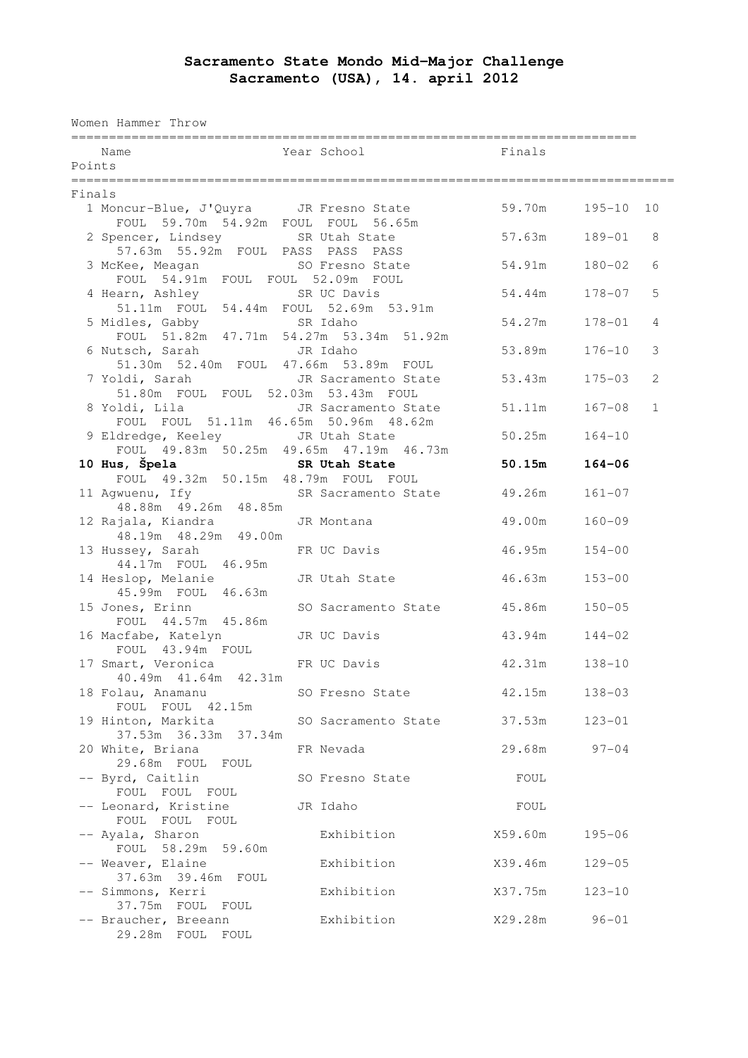## **Sacramento State Mondo Mid-Major Challenge Sacramento (USA), 14. april 2012**

Women Hammer Throw

|        | Name                                                                          | Year School                  | Finals            |                         |              |  |  |  |  |
|--------|-------------------------------------------------------------------------------|------------------------------|-------------------|-------------------------|--------------|--|--|--|--|
| Points |                                                                               |                              |                   |                         |              |  |  |  |  |
|        | Finals                                                                        |                              |                   |                         |              |  |  |  |  |
|        | 1 Moncur-Blue, J'Quyra JR Fresno State<br>FOUL 59.70m 54.92m FOUL FOUL 56.65m |                              | 59.70m            | $195 - 10$              | 10           |  |  |  |  |
|        | 2 Spencer, Lindsey SR Utah State<br>57.63m 55.92m FOUL PASS PASS PASS         |                              | 57.63m            | $189 - 01$              | 8            |  |  |  |  |
|        | 3 McKee, Meagan<br>FOUL 54.91m FOUL FOUL 52.09m FOUL                          | SO Fresno State              | 54.91m            | $180 - 02$              | 6            |  |  |  |  |
|        | 4 Hearn, Ashley<br>51.11m FOUL 54.44m FOUL 52.69m 53.91m                      | SR UC Davis                  | 54.44m            | $178 - 07$              | 5            |  |  |  |  |
|        | 5 Midles, Gabby<br>SR Idaho<br>FOUL 51.82m 47.71m 54.27m 53.34m 51.92m        |                              | 54.27m            | $178 - 01$              | 4            |  |  |  |  |
|        | 6 Nutsch, Sarah<br>51.30m  52.40m  FOUL  47.66m  53.89m  FOUL                 | JR Idaho                     | 53.89m            | $176 - 10$              | 3            |  |  |  |  |
|        | 7 Yoldi, Sarah<br>51.80m FOUL FOUL 52.03m 53.43m FOUL                         | JR Sacramento State          | 53.43m            | $175 - 03$              | 2            |  |  |  |  |
|        | 8 Yoldi, Lila<br>FOUL FOUL 51.11m 46.65m 50.96m 48.62m                        | JR Sacramento State          | 51.11m            | $167 - 08$              | $\mathbf{1}$ |  |  |  |  |
|        | 9 Eldredge, Keeley JR Utah State<br>FOUL 49.83m 50.25m 49.65m 47.19m 46.73m   |                              | 50.25m            | $164 - 10$              |              |  |  |  |  |
|        | 10 Hus, Špela<br>SR Utah State<br>FOUL 49.32m 50.15m 48.79m FOUL FOUL         |                              | 50.15m            | $164 - 06$              |              |  |  |  |  |
|        | 11 Agwuenu, Ify SR Sacramento State<br>48.88m  49.26m  48.85m                 |                              | 49.26m            | $161 - 07$              |              |  |  |  |  |
|        | 12 Rajala, Kiandra<br>48.19m  48.29m  49.00m                                  | JR Montana                   | 49.00m            | $160 - 09$              |              |  |  |  |  |
|        | 13 Hussey, Sarah<br>44.17m FOUL 46.95m                                        | FR UC Davis                  | 46.95m            | $154 - 00$              |              |  |  |  |  |
|        | 14 Heslop, Melanie<br>45.99m FOUL 46.63m                                      | JR Utah State                | 46.63m            | $153 - 00$              |              |  |  |  |  |
|        | 15 Jones, Erinn<br>FOUL 44.57m 45.86m                                         | SO Sacramento State 45.86m   |                   | $150 - 05$              |              |  |  |  |  |
|        | 16 Macfabe, Katelyn<br>FOUL 43.94m FOUL                                       | JR UC Davis                  | 43.94m            | $144 - 02$              |              |  |  |  |  |
|        | 17 Smart, Veronica<br>40.49m  41.64m  42.31m                                  | FR UC Davis                  | 42.31m            | $138 - 10$              |              |  |  |  |  |
|        | 18 Folau, Anamanu<br>FOUL FOUL 42.15m                                         | SO Fresno State              | $42.15m$ $138-03$ |                         |              |  |  |  |  |
|        | 19 Hinton, Markita<br>37.53m 36.33m 37.34m                                    | SO Sacramento State          | 37.53m<br>29.68m  | $123 - 01$<br>$97 - 04$ |              |  |  |  |  |
|        | 20 White, Briana<br>29.68m FOUL FOUL<br>-- Byrd, Caitlin                      | FR Nevada<br>SO Fresno State |                   |                         |              |  |  |  |  |
|        | FOUL FOUL FOUL                                                                |                              | FOUL              |                         |              |  |  |  |  |
|        | -- Leonard, Kristine<br>FOUL FOUL FOUL                                        | JR Idaho                     | FOUL              |                         |              |  |  |  |  |
|        | -- Ayala, Sharon<br>FOUL 58.29m 59.60m                                        | Exhibition                   | X59.60m           | $195 - 06$              |              |  |  |  |  |
|        | -- Weaver, Elaine<br>37.63m 39.46m FOUL                                       | Exhibition                   | X39.46m           | $129 - 05$              |              |  |  |  |  |
|        | -- Simmons, Kerri<br>37.75m FOUL FOUL                                         | Exhibition                   | X37.75m           | $123 - 10$              |              |  |  |  |  |
|        | -- Braucher, Breeann<br>29.28m FOUL<br>FOUL                                   | Exhibition                   | X29.28m           | $96 - 01$               |              |  |  |  |  |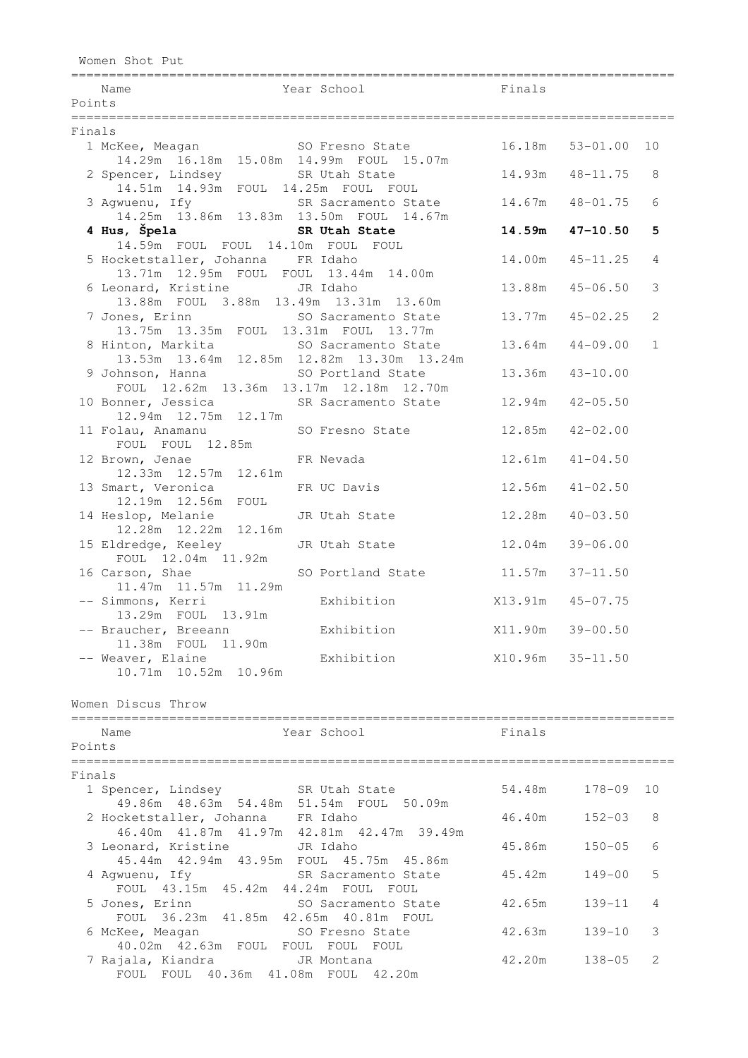Women Shot Put

| Points | Name                                                                                                            | Year School Finals                                                             |                     |                     |                |
|--------|-----------------------------------------------------------------------------------------------------------------|--------------------------------------------------------------------------------|---------------------|---------------------|----------------|
| Finals |                                                                                                                 |                                                                                |                     |                     |                |
|        |                                                                                                                 |                                                                                |                     | $16.18m$ $53-01.00$ | 10             |
|        | 1 McKee, Meagan 50 Fresno State<br>14.29m 16.18m 15.08m 14.99m FOUL 15.07m                                      |                                                                                |                     |                     |                |
|        | 2 Spencer, Lindsey                                                                                              | SR Utah State                                                                  | 14.93m  48-11.75    |                     | 8              |
|        |                                                                                                                 | 14.51m  14.93m  FOUL  14.25m  FOUL  FOUL                                       |                     |                     |                |
|        | 3 Agwuenu, Ify                                                                                                  | SR Sacramento State 14.67m 48-01.75<br>14.25m 13.86m 13.83m 13.50m FOUL 14.67m |                     |                     | 6              |
|        | 4 Hus, Špela do Maria do Maria de Santo de Santo de Santo de Santo de Santo de Santo de Santo de Santo de Santo | SR Utah State                                                                  | 14.59m              | 47-10.50            | 5              |
|        | 14.59m FOUL FOUL 14.10m FOUL FOUL                                                                               |                                                                                |                     |                     |                |
|        | 5 Hocketstaller, Johanna FR Idaho                                                                               |                                                                                |                     | 14.00m  45-11.25    | $\overline{4}$ |
|        | 13.71m  12.95m  FOUL  FOUL  13.44m  14.00m                                                                      |                                                                                |                     |                     |                |
|        | 6 Leonard, Kristine JR Idaho                                                                                    |                                                                                | 13.88m              | $45 - 06.50$        | 3              |
|        | 13.88m FOUL 3.88m 13.49m 13.31m 13.60m<br>7 Jones, Erinn SO Sacramento State 13.77m 45-02.25                    |                                                                                |                     |                     | 2              |
|        | 13.75m 13.35m FOUL 13.31m FOUL 13.77m                                                                           |                                                                                |                     |                     |                |
|        | 8 Hinton, Markita 60 Sacramento State 13.64m 44-09.00                                                           |                                                                                |                     |                     | $\mathbf{1}$   |
|        |                                                                                                                 | 13.53m  13.64m  12.85m  12.82m  13.30m  13.24m                                 |                     |                     |                |
|        | 9 Johnson, Hanna SO Portland State                                                                              |                                                                                | $13.36m$ $43-10.00$ |                     |                |
|        |                                                                                                                 | FOUL 12.62m 13.36m 13.17m 12.18m 12.70m                                        |                     |                     |                |
|        | 10 Bonner, Jessica SR Sacramento State 12.94m 42-05.50<br>12.94m  12.75m  12.17m                                |                                                                                |                     |                     |                |
|        |                                                                                                                 |                                                                                |                     | $42 - 02.00$        |                |
|        | 11 Folau, Anamanu SO Fresno State 12.85m<br>FOUL FOUL 12.85m                                                    |                                                                                |                     |                     |                |
|        | 12 Brown, Jenae FR Nevada                                                                                       |                                                                                |                     | $12.61m$ $41-04.50$ |                |
|        | 12.33m  12.57m  12.61m                                                                                          |                                                                                |                     |                     |                |
|        | 13 Smart, Veronica                                                                                              | FR UC Davis 12.56m 41-02.50                                                    |                     |                     |                |
|        | 12.19m  12.56m  FOUL                                                                                            |                                                                                |                     |                     |                |
|        | 14 Heslop, Melanie<br>12.28m  12.22m  12.16m                                                                    | JR Utah State                                                                  | $12.28m$ $40-03.50$ |                     |                |
|        | 15 Eldredge, Keeley                                                                                             | JR Utah State                                                                  | 12.04m              | $39 - 06.00$        |                |
|        | FOUL 12.04m 11.92m                                                                                              |                                                                                |                     |                     |                |
|        | 16 Carson, Shae                                                                                                 | SO Portland State                                                              | 11.57m              | $37 - 11.50$        |                |
|        | 11.47m  11.57m  11.29m                                                                                          |                                                                                |                     |                     |                |
|        | -- Simmons, Kerri                                                                                               | Exhibition                                                                     | X13.91m 45-07.75    |                     |                |
|        | 13.29m FOUL 13.91m                                                                                              |                                                                                |                     |                     |                |
|        | -- Braucher, Breeann Marking Exhibition Marking 29-00.50<br>11.90m<br>11.38m FOUL                               |                                                                                |                     |                     |                |
|        | -- Weaver, Elaine                                                                                               | Exhibition                                                                     |                     | X10.96m 35-11.50    |                |
|        | 10.71m  10.52m  10.96m                                                                                          |                                                                                |                     |                     |                |
|        | Women Discus Throw                                                                                              | =======================                                                        |                     |                     |                |
|        | Name                                                                                                            | Year School                                                                    | Finals              |                     |                |
| Points |                                                                                                                 |                                                                                |                     |                     |                |
|        |                                                                                                                 |                                                                                |                     |                     |                |

|  |  | ×<br>. . |  |
|--|--|----------|--|
|  |  |          |  |

| Finals |                                        |                      |        |            |                |
|--------|----------------------------------------|----------------------|--------|------------|----------------|
|        | 1 Spencer, Lindsey SR Utah State       |                      | 54.48m | 178-09 10  |                |
|        | 49.86m 48.63m 54.48m                   | 51.54m FOUL 50.09m   |        |            |                |
|        | 2 Hocketstaller, Johanna FR Idaho      |                      | 46.40m | $152 - 03$ | 8              |
|        | 46.40m  41.87m  41.97m                 | 42.81m 42.47m 39.49m |        |            |                |
|        | 3 Leonard, Kristine                    | JR Idaho             | 45.86m | $150 - 05$ | 6              |
|        | 45.44m 42.94m 43.95m                   | FOUL 45.75m 45.86m   |        |            |                |
|        | 4 Aqwuenu, Ify  SR Sacramento State    |                      | 45.42m | $149 - 00$ | .5             |
|        | FOUL 43.15m 45.42m                     | 44.24m FOUL FOUL     |        |            |                |
|        | 5 Jones, Erinn The SO Sacramento State |                      | 42.65m | $139 - 11$ | $\overline{4}$ |
|        | FOUL 36.23m 41.85m                     |                      |        |            |                |
|        | 6 McKee, Meagan SO Fresno State        |                      | 42.63m | $139 - 10$ | -3             |
|        | 40.02m  42.63m  FOUL                   | FOUL FOUL FOUL       |        |            |                |
|        | 7 Rajala, Kiandra         JR Montana   |                      | 42.20m | $138 - 05$ | 2              |
|        | FOUL 40.36m 41.08m<br>FOUL             | 42.20m<br>FOUL       |        |            |                |
|        |                                        |                      |        |            |                |